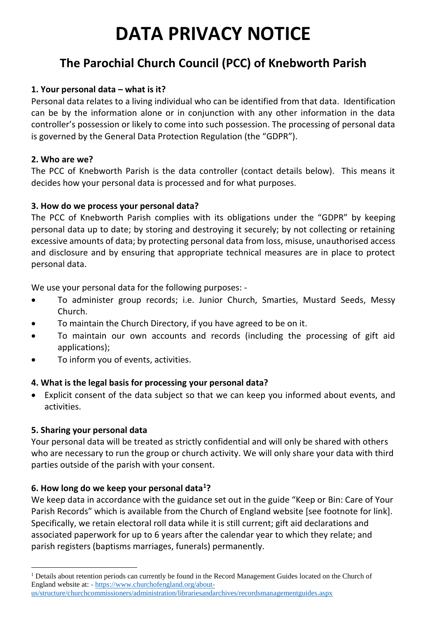# **DATA PRIVACY NOTICE**

# **The Parochial Church Council (PCC) of Knebworth Parish**

### **1. Your personal data – what is it?**

Personal data relates to a living individual who can be identified from that data. Identification can be by the information alone or in conjunction with any other information in the data controller's possession or likely to come into such possession. The processing of personal data is governed by the General Data Protection Regulation (the "GDPR").

#### **2. Who are we?**

The PCC of Knebworth Parish is the data controller (contact details below). This means it decides how your personal data is processed and for what purposes.

#### **3. How do we process your personal data?**

The PCC of Knebworth Parish complies with its obligations under the "GDPR" by keeping personal data up to date; by storing and destroying it securely; by not collecting or retaining excessive amounts of data; by protecting personal data from loss, misuse, unauthorised access and disclosure and by ensuring that appropriate technical measures are in place to protect personal data.

We use your personal data for the following purposes: -

- To administer group records; i.e. Junior Church, Smarties, Mustard Seeds, Messy Church.
- To maintain the Church Directory, if you have agreed to be on it.
- To maintain our own accounts and records (including the processing of gift aid applications);
- To inform you of events, activities.

# **4. What is the legal basis for processing your personal data?**

 Explicit consent of the data subject so that we can keep you informed about events, and activities.

# **5. Sharing your personal data**

 $\overline{a}$ 

Your personal data will be treated as strictly confidential and will only be shared with others who are necessary to run the group or church activity. We will only share your data with third parties outside of the parish with your consent.

# **6. How long do we keep your personal data<sup>1</sup> ?**

We keep data in accordance with the guidance set out in the guide "Keep or Bin: Care of Your Parish Records" which is available from the Church of England website [see footnote for link]. Specifically, we retain electoral roll data while it is still current; gift aid declarations and associated paperwork for up to 6 years after the calendar year to which they relate; and parish registers (baptisms marriages, funerals) permanently.

<sup>&</sup>lt;sup>1</sup> Details about retention periods can currently be found in the Record Management Guides located on the Church of England website at: - [https://www.churchofengland.org/about-](https://www.churchofengland.org/about-us/structure/churchcommissioners/administration/librariesandarchives/recordsmanagementguides.aspx)

[us/structure/churchcommissioners/administration/librariesandarchives/recordsmanagementguides.aspx](https://www.churchofengland.org/about-us/structure/churchcommissioners/administration/librariesandarchives/recordsmanagementguides.aspx)